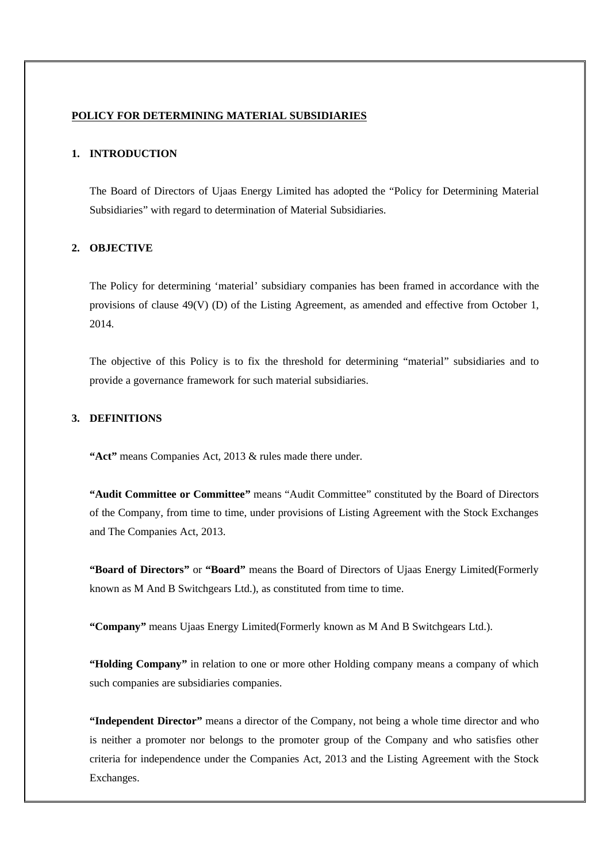#### **POLICY FOR DETERMINING MATERIAL SUBSIDIARIES**

# **1. INTRODUCTION**

The Board of Directors of Ujaas Energy Limited has adopted the "Policy for Determining Material Subsidiaries" with regard to determination of Material Subsidiaries.

### **2. OBJECTIVE**

The Policy for determining 'material' subsidiary companies has been framed in accordance with the provisions of clause 49(V) (D) of the Listing Agreement, as amended and effective from October 1, 2014.

The objective of this Policy is to fix the threshold for determining "material" subsidiaries and to provide a governance framework for such material subsidiaries.

### **3. DEFINITIONS**

**"Act"** means Companies Act, 2013 & rules made there under.

**"Audit Committee or Committee"** means "Audit Committee" constituted by the Board of Directors of the Company, from time to time, under provisions of Listing Agreement with the Stock Exchanges and The Companies Act, 2013.

**"Board of Directors"** or **"Board"** means the Board of Directors of Ujaas Energy Limited(Formerly known as M And B Switchgears Ltd.), as constituted from time to time.

**"Company"** means Ujaas Energy Limited(Formerly known as M And B Switchgears Ltd.).

**"Holding Company"** in relation to one or more other Holding company means a company of which such companies are subsidiaries companies.

**"Independent Director"** means a director of the Company, not being a whole time director and who is neither a promoter nor belongs to the promoter group of the Company and who satisfies other criteria for independence under the Companies Act, 2013 and the Listing Agreement with the Stock Exchanges.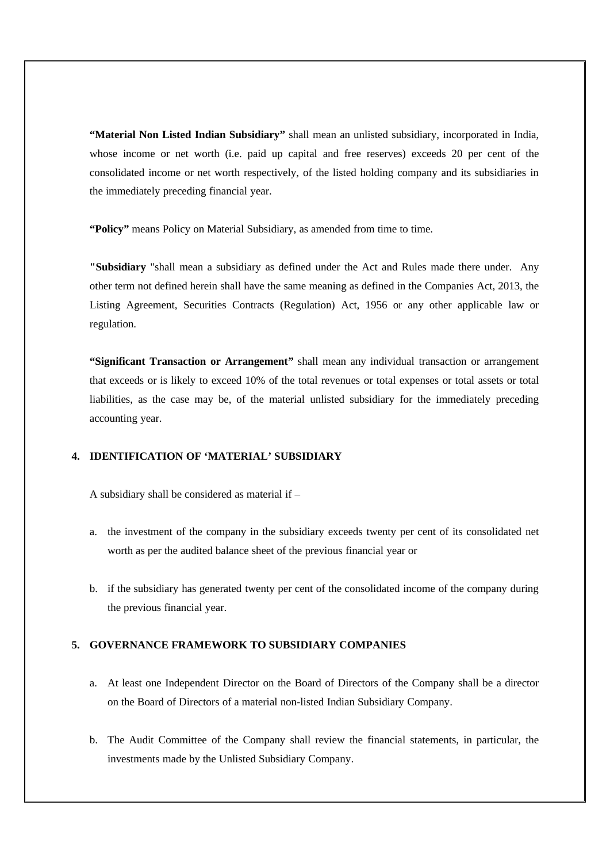**"Material Non Listed Indian Subsidiary"** shall mean an unlisted subsidiary, incorporated in India, whose income or net worth (i.e. paid up capital and free reserves) exceeds 20 per cent of the consolidated income or net worth respectively, of the listed holding company and its subsidiaries in the immediately preceding financial year.

**"Policy"** means Policy on Material Subsidiary, as amended from time to time.

**"Subsidiary** "shall mean a subsidiary as defined under the Act and Rules made there under. Any other term not defined herein shall have the same meaning as defined in the Companies Act, 2013, the Listing Agreement, Securities Contracts (Regulation) Act, 1956 or any other applicable law or regulation.

**"Significant Transaction or Arrangement"** shall mean any individual transaction or arrangement that exceeds or is likely to exceed 10% of the total revenues or total expenses or total assets or total liabilities, as the case may be, of the material unlisted subsidiary for the immediately preceding accounting year.

# **4. IDENTIFICATION OF 'MATERIAL' SUBSIDIARY**

A subsidiary shall be considered as material if –

- a. the investment of the company in the subsidiary exceeds twenty per cent of its consolidated net worth as per the audited balance sheet of the previous financial year or
- b. if the subsidiary has generated twenty per cent of the consolidated income of the company during the previous financial year.

### **5. GOVERNANCE FRAMEWORK TO SUBSIDIARY COMPANIES**

- a. At least one Independent Director on the Board of Directors of the Company shall be a director on the Board of Directors of a material non-listed Indian Subsidiary Company.
- b. The Audit Committee of the Company shall review the financial statements, in particular, the investments made by the Unlisted Subsidiary Company.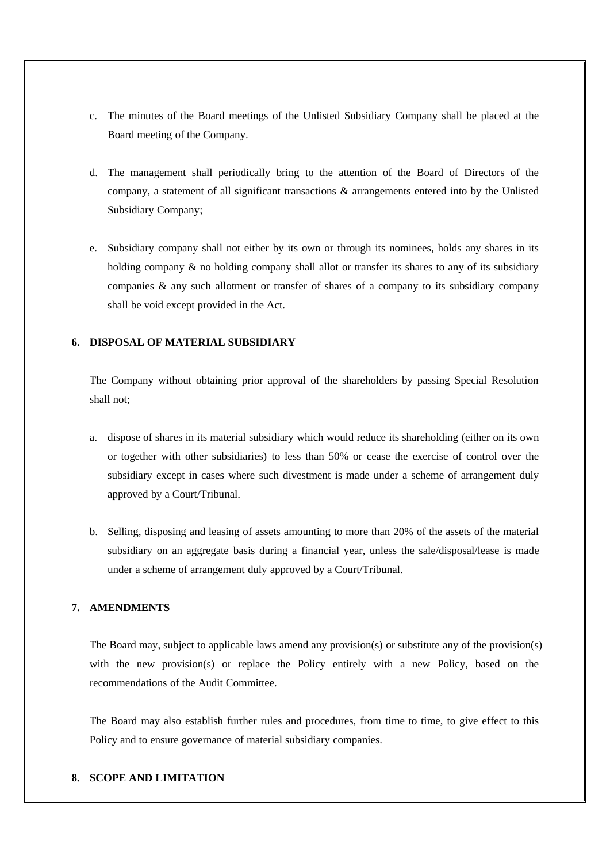- c. The minutes of the Board meetings of the Unlisted Subsidiary Company shall be placed at the Board meeting of the Company.
- d. The management shall periodically bring to the attention of the Board of Directors of the company, a statement of all significant transactions & arrangements entered into by the Unlisted Subsidiary Company;
- e. Subsidiary company shall not either by its own or through its nominees, holds any shares in its holding company  $\&$  no holding company shall allot or transfer its shares to any of its subsidiary companies & any such allotment or transfer of shares of a company to its subsidiary company shall be void except provided in the Act.

### **6. DISPOSAL OF MATERIAL SUBSIDIARY**

The Company without obtaining prior approval of the shareholders by passing Special Resolution shall not;

- a. dispose of shares in its material subsidiary which would reduce its shareholding (either on its own or together with other subsidiaries) to less than 50% or cease the exercise of control over the subsidiary except in cases where such divestment is made under a scheme of arrangement duly approved by a Court/Tribunal.
- b. Selling, disposing and leasing of assets amounting to more than 20% of the assets of the material subsidiary on an aggregate basis during a financial year, unless the sale/disposal/lease is made under a scheme of arrangement duly approved by a Court/Tribunal.

## **7. AMENDMENTS**

The Board may, subject to applicable laws amend any provision(s) or substitute any of the provision(s) with the new provision(s) or replace the Policy entirely with a new Policy, based on the recommendations of the Audit Committee.

The Board may also establish further rules and procedures, from time to time, to give effect to this Policy and to ensure governance of material subsidiary companies.

#### **8. SCOPE AND LIMITATION**